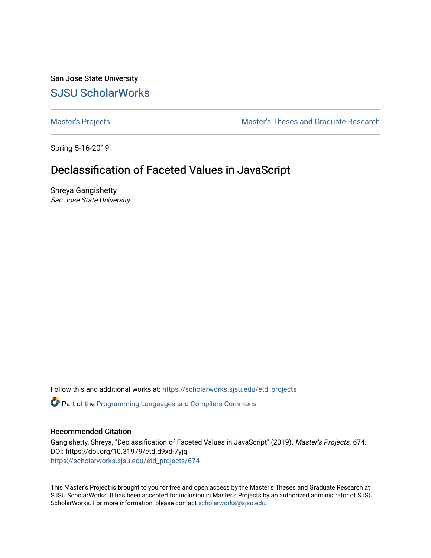San Jose State University [SJSU ScholarWorks](https://scholarworks.sjsu.edu/) 

[Master's Projects](https://scholarworks.sjsu.edu/etd_projects) [Master's Theses and Graduate Research](https://scholarworks.sjsu.edu/etd) 

Spring 5-16-2019

# Declassification of Faceted Values in JavaScript

Shreya Gangishetty San Jose State University

Follow this and additional works at: [https://scholarworks.sjsu.edu/etd\\_projects](https://scholarworks.sjsu.edu/etd_projects?utm_source=scholarworks.sjsu.edu%2Fetd_projects%2F674&utm_medium=PDF&utm_campaign=PDFCoverPages) 

Part of the [Programming Languages and Compilers Commons](http://network.bepress.com/hgg/discipline/148?utm_source=scholarworks.sjsu.edu%2Fetd_projects%2F674&utm_medium=PDF&utm_campaign=PDFCoverPages) 

## Recommended Citation

Gangishetty, Shreya, "Declassification of Faceted Values in JavaScript" (2019). Master's Projects. 674. DOI: https://doi.org/10.31979/etd.d9xd-7yjq [https://scholarworks.sjsu.edu/etd\\_projects/674](https://scholarworks.sjsu.edu/etd_projects/674?utm_source=scholarworks.sjsu.edu%2Fetd_projects%2F674&utm_medium=PDF&utm_campaign=PDFCoverPages) 

This Master's Project is brought to you for free and open access by the Master's Theses and Graduate Research at SJSU ScholarWorks. It has been accepted for inclusion in Master's Projects by an authorized administrator of SJSU ScholarWorks. For more information, please contact [scholarworks@sjsu.edu](mailto:scholarworks@sjsu.edu).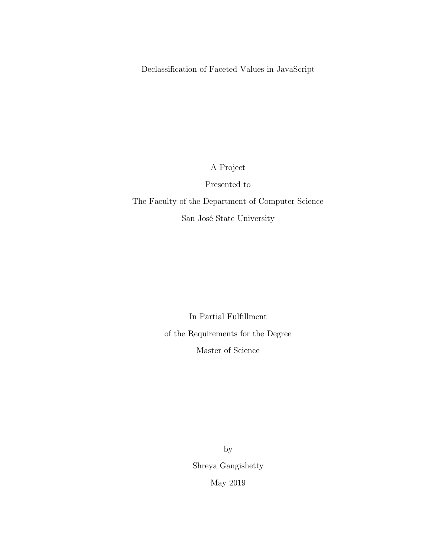Declassification of Faceted Values in JavaScript

A Project

Presented to

The Faculty of the Department of Computer Science San José State University

> In Partial Fulfillment of the Requirements for the Degree Master of Science

> > by Shreya Gangishetty May 2019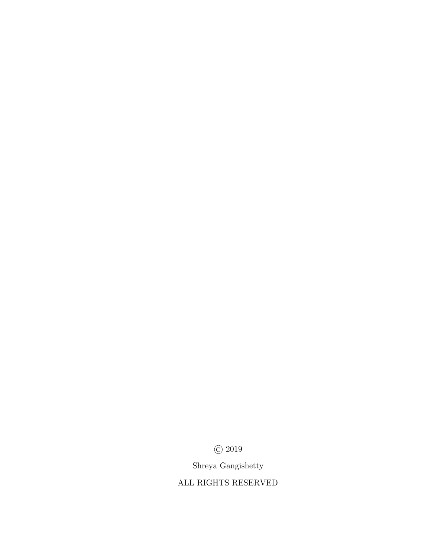© 2019

Shreya Gangishetty

ALL RIGHTS RESERVED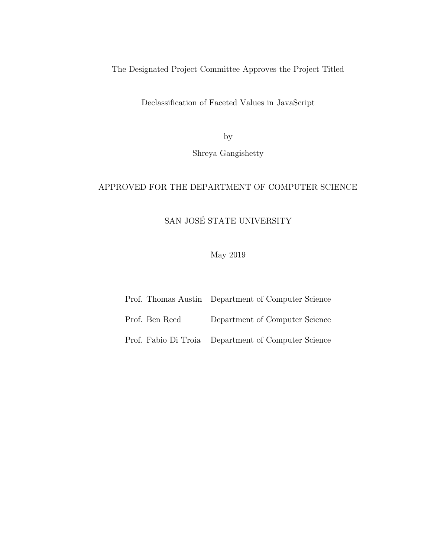The Designated Project Committee Approves the Project Titled

Declassification of Faceted Values in JavaScript

by

Shreya Gangishetty

## APPROVED FOR THE DEPARTMENT OF COMPUTER SCIENCE

## SAN JOSÉ STATE UNIVERSITY

May 2019

- Prof. Thomas Austin Department of Computer Science
- Prof. Ben Reed Department of Computer Science

Prof. Fabio Di Troia Department of Computer Science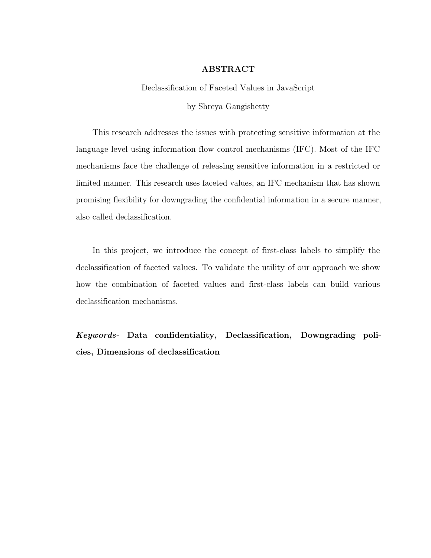## ABSTRACT

Declassification of Faceted Values in JavaScript

by Shreya Gangishetty

This research addresses the issues with protecting sensitive information at the language level using information flow control mechanisms (IFC). Most of the IFC mechanisms face the challenge of releasing sensitive information in a restricted or limited manner. This research uses faceted values, an IFC mechanism that has shown promising flexibility for downgrading the confidential information in a secure manner, also called declassification.

In this project, we introduce the concept of first-class labels to simplify the declassification of faceted values. To validate the utility of our approach we show how the combination of faceted values and first-class labels can build various declassification mechanisms.

Keywords- Data confidentiality, Declassification, Downgrading policies, Dimensions of declassification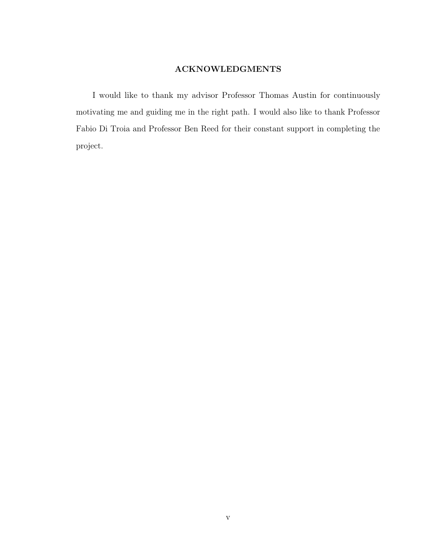## ACKNOWLEDGMENTS

I would like to thank my advisor Professor Thomas Austin for continuously motivating me and guiding me in the right path. I would also like to thank Professor Fabio Di Troia and Professor Ben Reed for their constant support in completing the project.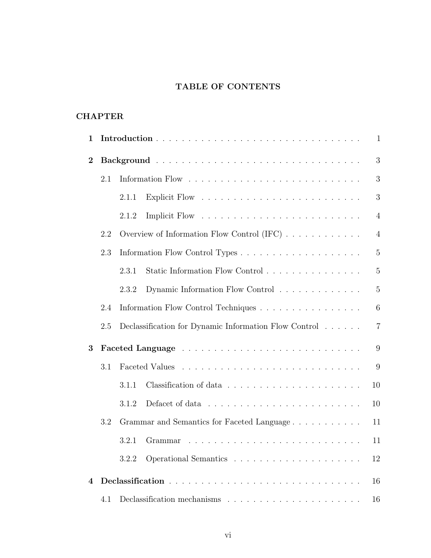## TABLE OF CONTENTS

## **CHAPTER**

| 1              |     | $\mathbf{1}$                                     |                                                                                        |  |  |  |
|----------------|-----|--------------------------------------------------|----------------------------------------------------------------------------------------|--|--|--|
| $\bf{2}$       |     |                                                  |                                                                                        |  |  |  |
|                | 2.1 |                                                  | 3                                                                                      |  |  |  |
|                |     | 2.1.1                                            | 3                                                                                      |  |  |  |
|                |     | 2.1.2                                            | $\overline{4}$                                                                         |  |  |  |
|                | 2.2 |                                                  | Overview of Information Flow Control (IFC) $\dots \dots \dots \dots$<br>$\overline{4}$ |  |  |  |
|                | 2.3 |                                                  | $\overline{5}$                                                                         |  |  |  |
|                |     | Static Information Flow Control<br>2.3.1         |                                                                                        |  |  |  |
|                |     | 2.3.2                                            | $\overline{5}$<br>Dynamic Information Flow Control                                     |  |  |  |
|                | 2.4 |                                                  | Information Flow Control Techniques<br>6                                               |  |  |  |
|                | 2.5 |                                                  | Declassification for Dynamic Information Flow Control<br>$\overline{7}$                |  |  |  |
| 3              |     |                                                  | 9                                                                                      |  |  |  |
|                | 3.1 |                                                  |                                                                                        |  |  |  |
|                |     | 3.1.1                                            | 10                                                                                     |  |  |  |
|                |     | 3.1.2                                            | 10                                                                                     |  |  |  |
|                | 3.2 | Grammar and Semantics for Faceted Language<br>11 |                                                                                        |  |  |  |
|                |     | 3.2.1                                            | 11                                                                                     |  |  |  |
|                |     | 3.2.2                                            | 12                                                                                     |  |  |  |
| $\overline{4}$ |     |                                                  | 16                                                                                     |  |  |  |
|                | 4.1 |                                                  |                                                                                        |  |  |  |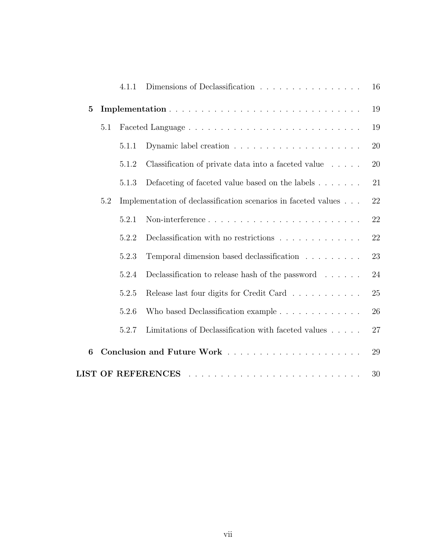|                  |     | 4.1.1 | Dimensions of Declassification                                      | 16 |
|------------------|-----|-------|---------------------------------------------------------------------|----|
| $\mathbf{5}$     |     |       |                                                                     | 19 |
|                  | 5.1 |       |                                                                     |    |
|                  |     | 5.1.1 |                                                                     | 20 |
|                  |     | 5.1.2 | Classification of private data into a faceted value                 | 20 |
|                  |     | 5.1.3 | Defaceting of faceted value based on the labels                     | 21 |
|                  | 5.2 |       | Implementation of declassification scenarios in faceted values      | 22 |
|                  |     | 5.2.1 | Non-interference                                                    | 22 |
|                  |     | 5.2.2 | Declassification with no restrictions $\ldots \ldots \ldots \ldots$ | 22 |
|                  |     | 5.2.3 | Temporal dimension based declassification                           | 23 |
|                  |     | 5.2.4 | Declassification to release hash of the password $\dots \dots$      | 24 |
|                  |     | 5.2.5 | Release last four digits for Credit Card                            | 25 |
|                  |     | 5.2.6 | Who based Declassification example                                  | 26 |
|                  |     | 5.2.7 | Limitations of Declassification with faceted values $\ldots$ .      | 27 |
| $\boldsymbol{6}$ |     |       |                                                                     | 29 |
|                  |     |       | <b>LIST OF REFERENCES</b>                                           | 30 |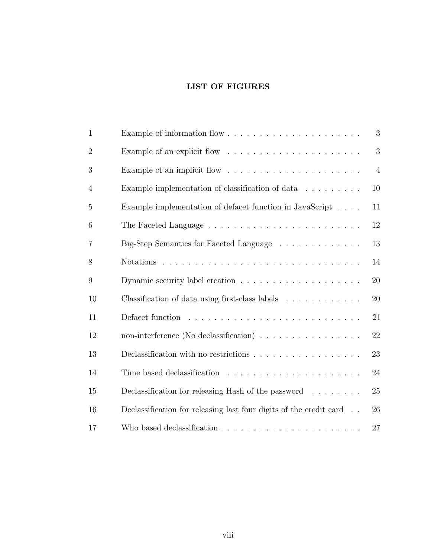## LIST OF FIGURES

| $\mathbf{1}$   |                                                                                   | 3              |
|----------------|-----------------------------------------------------------------------------------|----------------|
| $\overline{2}$ |                                                                                   | 3              |
| 3              | Example of an implicit flow $\dots \dots \dots \dots \dots \dots \dots$           | $\overline{4}$ |
| $\overline{4}$ | Example implementation of classification of data $\ldots \ldots \ldots$           | 10             |
| 5              | Example implementation of defacet function in JavaScript                          | 11             |
| 6              |                                                                                   | 12             |
| $\overline{7}$ | Big-Step Semantics for Faceted Language                                           | 13             |
| 8              |                                                                                   | 14             |
| 9              | Dynamic security label creation $\ldots \ldots \ldots \ldots \ldots \ldots$       | 20             |
| 10             | Classification of data using first-class labels                                   | 20             |
| 11             |                                                                                   | 21             |
| 12             | non-interference (No declassification)                                            | 22             |
| 13             | Declassification with no restrictions $\ldots \ldots \ldots \ldots \ldots \ldots$ | 23             |
| 14             |                                                                                   | 24             |
| 15             | Declassification for releasing Hash of the password $\ldots \ldots$               | 25             |
| 16             | Declassification for releasing last four digits of the credit card                | 26             |
| 17             |                                                                                   | 27             |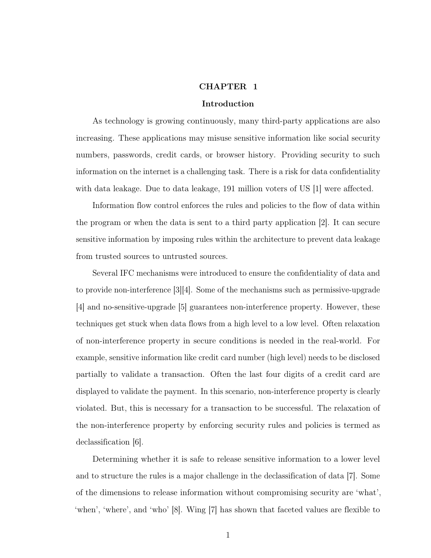#### CHAPTER 1

#### Introduction

<span id="page-9-0"></span>As technology is growing continuously, many third-party applications are also increasing. These applications may misuse sensitive information like social security numbers, passwords, credit cards, or browser history. Providing security to such information on the internet is a challenging task. There is a risk for data confidentiality with data leakage. Due to data leakage, 191 million voters of US [\[1\]](#page-38-1) were affected.

Information flow control enforces the rules and policies to the flow of data within the program or when the data is sent to a third party application [\[2\]](#page-38-2). It can secure sensitive information by imposing rules within the architecture to prevent data leakage from trusted sources to untrusted sources.

Several IFC mechanisms were introduced to ensure the confidentiality of data and to provide non-interference [\[3\]](#page-38-3)[\[4\]](#page-38-4). Some of the mechanisms such as permissive-upgrade [\[4\]](#page-38-4) and no-sensitive-upgrade [\[5\]](#page-38-5) guarantees non-interference property. However, these techniques get stuck when data flows from a high level to a low level. Often relaxation of non-interference property in secure conditions is needed in the real-world. For example, sensitive information like credit card number (high level) needs to be disclosed partially to validate a transaction. Often the last four digits of a credit card are displayed to validate the payment. In this scenario, non-interference property is clearly violated. But, this is necessary for a transaction to be successful. The relaxation of the non-interference property by enforcing security rules and policies is termed as declassification [\[6\]](#page-38-6).

Determining whether it is safe to release sensitive information to a lower level and to structure the rules is a major challenge in the declassification of data [\[7\]](#page-38-7). Some of the dimensions to release information without compromising security are 'what', 'when', 'where', and 'who' [\[8\]](#page-38-8). Wing [\[7\]](#page-38-7) has shown that faceted values are flexible to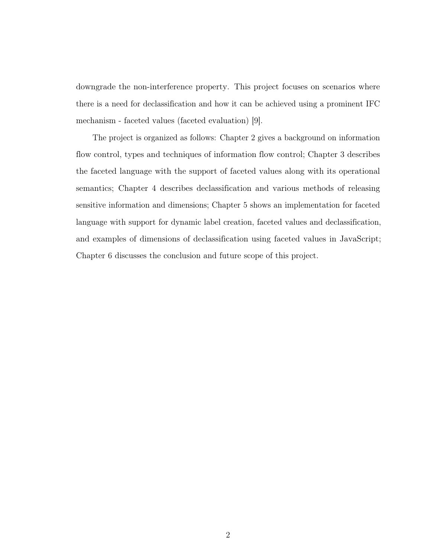downgrade the non-interference property. This project focuses on scenarios where there is a need for declassification and how it can be achieved using a prominent IFC mechanism - faceted values (faceted evaluation) [\[9\]](#page-38-9).

The project is organized as follows: Chapter 2 gives a background on information flow control, types and techniques of information flow control; Chapter 3 describes the faceted language with the support of faceted values along with its operational semantics; Chapter 4 describes declassification and various methods of releasing sensitive information and dimensions; Chapter 5 shows an implementation for faceted language with support for dynamic label creation, faceted values and declassification, and examples of dimensions of declassification using faceted values in JavaScript; Chapter 6 discusses the conclusion and future scope of this project.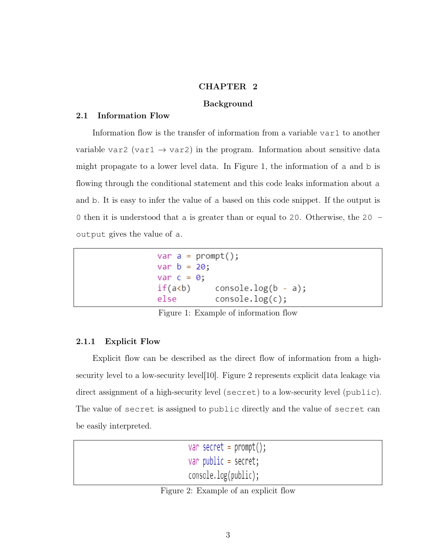## CHAPTER 2

## Background

## <span id="page-11-1"></span><span id="page-11-0"></span>2.1 Information Flow

Information flow is the transfer of information from a variable var1 to another variable var2 (var1  $\rightarrow$  var2) in the program. Information about sensitive data might propagate to a lower level data. In Figure [1,](#page-11-3) the information of a and b is flowing through the conditional statement and this code leaks information about a and b. It is easy to infer the value of a based on this code snippet. If the output is 0 then it is understood that a is greater than or equal to 20. Otherwise, the 20 output gives the value of a.

```
var a = prompt();
var b = 20;
var c = 0;
            console.log(b - a);if(a<b)
            console.log(c);
else
```
Figure 1: Example of information flow

## <span id="page-11-2"></span>2.1.1 Explicit Flow

<span id="page-11-4"></span>Explicit flow can be described as the direct flow of information from a highsecurity level to a low-security level[\[10\]](#page-39-0). Figure [2](#page-11-4) represents explicit data leakage via direct assignment of a high-security level (secret) to a low-security level (public). The value of secret is assigned to public directly and the value of secret can be easily interpreted.

```
var secret = prompt();
var public = secret;console.log(public);
```
Figure 2: Example of an explicit flow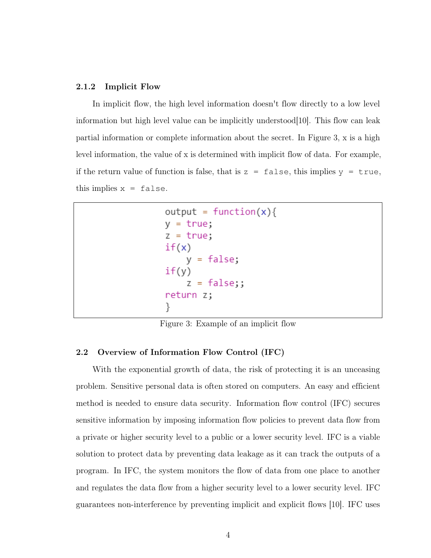#### <span id="page-12-0"></span>2.1.2 Implicit Flow

In implicit flow, the high level information doesn't flow directly to a low level information but high level value can be implicitly understood  $[10]$ . This flow can leak partial information or complete information about the secret. In Figure [3,](#page-12-2) x is a high level information, the value of x is determined with implicit flow of data. For example, if the return value of function is false, that is  $z = false$ , this implies  $y = true$ , this implies  $x = false$ .

```
output = function(x)y = true;z = true;if(x)y = false;if(y)z = false;return z;
```
Figure 3: Example of an implicit flow

## <span id="page-12-1"></span>2.2 Overview of Information Flow Control (IFC)

With the exponential growth of data, the risk of protecting it is an unceasing problem. Sensitive personal data is often stored on computers. An easy and efficient method is needed to ensure data security. Information flow control (IFC) secures sensitive information by imposing information flow policies to prevent data flow from a private or higher security level to a public or a lower security level. IFC is a viable solution to protect data by preventing data leakage as it can track the outputs of a program. In IFC, the system monitors the flow of data from one place to another and regulates the data flow from a higher security level to a lower security level. IFC guarantees non-interference by preventing implicit and explicit flows [\[10\]](#page-39-0). IFC uses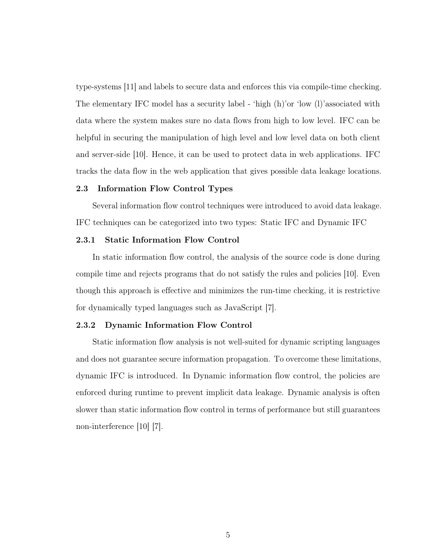type-systems [\[11\]](#page-39-1) and labels to secure data and enforces this via compile-time checking. The elementary IFC model has a security label - 'high (h)'or 'low (l)'associated with data where the system makes sure no data flows from high to low level. IFC can be helpful in securing the manipulation of high level and low level data on both client and server-side [\[10\]](#page-39-0). Hence, it can be used to protect data in web applications. IFC tracks the data flow in the web application that gives possible data leakage locations.

### <span id="page-13-0"></span>2.3 Information Flow Control Types

Several information flow control techniques were introduced to avoid data leakage. IFC techniques can be categorized into two types: Static IFC and Dynamic IFC

#### <span id="page-13-1"></span>2.3.1 Static Information Flow Control

In static information flow control, the analysis of the source code is done during compile time and rejects programs that do not satisfy the rules and policies [\[10\]](#page-39-0). Even though this approach is effective and minimizes the run-time checking, it is restrictive for dynamically typed languages such as JavaScript [\[7\]](#page-38-7).

## <span id="page-13-2"></span>2.3.2 Dynamic Information Flow Control

Static information flow analysis is not well-suited for dynamic scripting languages and does not guarantee secure information propagation. To overcome these limitations, dynamic IFC is introduced. In Dynamic information flow control, the policies are enforced during runtime to prevent implicit data leakage. Dynamic analysis is often slower than static information flow control in terms of performance but still guarantees non-interference [\[10\]](#page-39-0) [\[7\]](#page-38-7).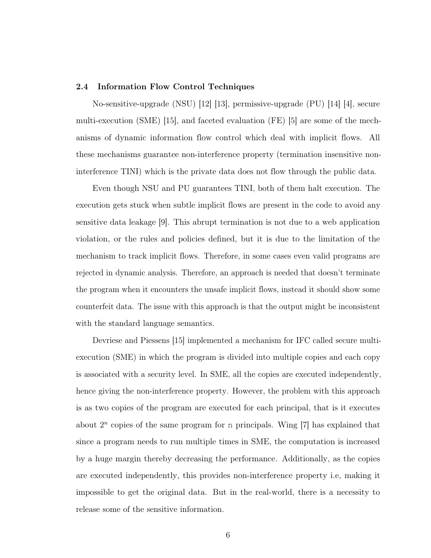#### <span id="page-14-0"></span>2.4 Information Flow Control Techniques

No-sensitive-upgrade (NSU) [\[12\]](#page-39-2) [\[13\]](#page-39-3), permissive-upgrade (PU) [\[14\]](#page-39-4) [\[4\]](#page-38-4), secure multi-execution (SME) [\[15\]](#page-39-5), and faceted evaluation (FE) [\[5\]](#page-38-5) are some of the mechanisms of dynamic information flow control which deal with implicit flows. All these mechanisms guarantee non-interference property (termination insensitive noninterference TINI) which is the private data does not flow through the public data.

Even though NSU and PU guarantees TINI, both of them halt execution. The execution gets stuck when subtle implicit flows are present in the code to avoid any sensitive data leakage [\[9\]](#page-38-9). This abrupt termination is not due to a web application violation, or the rules and policies defined, but it is due to the limitation of the mechanism to track implicit flows. Therefore, in some cases even valid programs are rejected in dynamic analysis. Therefore, an approach is needed that doesn't terminate the program when it encounters the unsafe implicit flows, instead it should show some counterfeit data. The issue with this approach is that the output might be inconsistent with the standard language semantics.

Devriese and Piessens [\[15\]](#page-39-5) implemented a mechanism for IFC called secure multiexecution (SME) in which the program is divided into multiple copies and each copy is associated with a security level. In SME, all the copies are executed independently, hence giving the non-interference property. However, the problem with this approach is as two copies of the program are executed for each principal, that is it executes about  $2^n$  copies of the same program for n principals. Wing  $[7]$  has explained that since a program needs to run multiple times in SME, the computation is increased by a huge margin thereby decreasing the performance. Additionally, as the copies are executed independently, this provides non-interference property i.e, making it impossible to get the original data. But in the real-world, there is a necessity to release some of the sensitive information.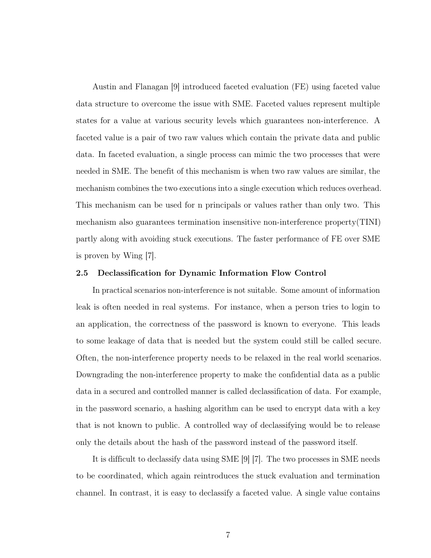Austin and Flanagan [\[9\]](#page-38-9) introduced faceted evaluation (FE) using faceted value data structure to overcome the issue with SME. Faceted values represent multiple states for a value at various security levels which guarantees non-interference. A faceted value is a pair of two raw values which contain the private data and public data. In faceted evaluation, a single process can mimic the two processes that were needed in SME. The benefit of this mechanism is when two raw values are similar, the mechanism combines the two executions into a single execution which reduces overhead. This mechanism can be used for n principals or values rather than only two. This mechanism also guarantees termination insensitive non-interference property(TINI) partly along with avoiding stuck executions. The faster performance of FE over SME is proven by Wing [\[7\]](#page-38-7).

#### <span id="page-15-0"></span>2.5 Declassification for Dynamic Information Flow Control

In practical scenarios non-interference is not suitable. Some amount of information leak is often needed in real systems. For instance, when a person tries to login to an application, the correctness of the password is known to everyone. This leads to some leakage of data that is needed but the system could still be called secure. Often, the non-interference property needs to be relaxed in the real world scenarios. Downgrading the non-interference property to make the confidential data as a public data in a secured and controlled manner is called declassification of data. For example, in the password scenario, a hashing algorithm can be used to encrypt data with a key that is not known to public. A controlled way of declassifying would be to release only the details about the hash of the password instead of the password itself.

It is difficult to declassify data using SME [\[9\]](#page-38-9) [\[7\]](#page-38-7). The two processes in SME needs to be coordinated, which again reintroduces the stuck evaluation and termination channel. In contrast, it is easy to declassify a faceted value. A single value contains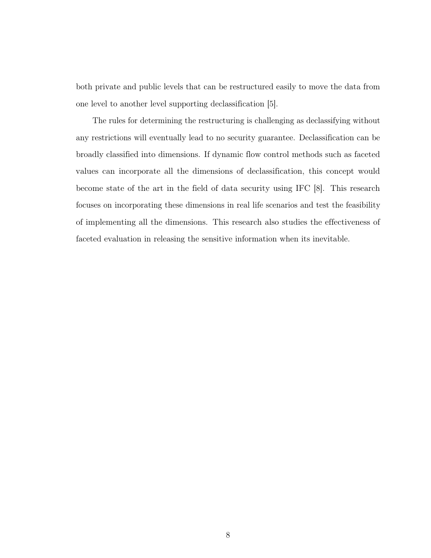both private and public levels that can be restructured easily to move the data from one level to another level supporting declassification [\[5\]](#page-38-5).

The rules for determining the restructuring is challenging as declassifying without any restrictions will eventually lead to no security guarantee. Declassification can be broadly classified into dimensions. If dynamic flow control methods such as faceted values can incorporate all the dimensions of declassification, this concept would become state of the art in the field of data security using IFC [\[8\]](#page-38-8). This research focuses on incorporating these dimensions in real life scenarios and test the feasibility of implementing all the dimensions. This research also studies the effectiveness of faceted evaluation in releasing the sensitive information when its inevitable.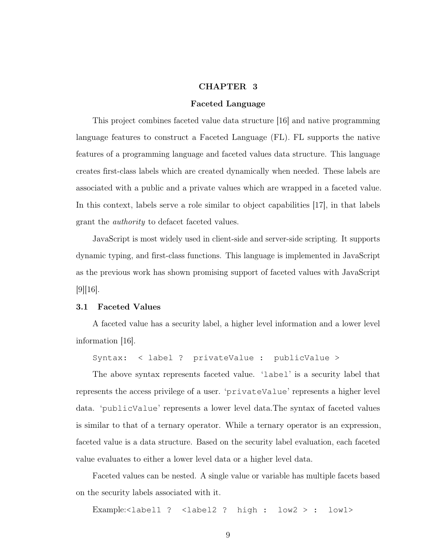### CHAPTER 3

#### Faceted Language

<span id="page-17-0"></span>This project combines faceted value data structure [\[16\]](#page-39-6) and native programming language features to construct a Faceted Language (FL). FL supports the native features of a programming language and faceted values data structure. This language creates first-class labels which are created dynamically when needed. These labels are associated with a public and a private values which are wrapped in a faceted value. In this context, labels serve a role similar to object capabilities [\[17\]](#page-39-7), in that labels grant the authority to defacet faceted values.

JavaScript is most widely used in client-side and server-side scripting. It supports dynamic typing, and first-class functions. This language is implemented in JavaScript as the previous work has shown promising support of faceted values with JavaScript [\[9\]](#page-38-9)[\[16\]](#page-39-6).

#### <span id="page-17-1"></span>3.1 Faceted Values

A faceted value has a security label, a higher level information and a lower level information [\[16\]](#page-39-6).

Syntax: < label ? privateValue : publicValue >

The above syntax represents faceted value. 'label' is a security label that represents the access privilege of a user. 'privateValue' represents a higher level data. 'publicValue' represents a lower level data.The syntax of faceted values is similar to that of a ternary operator. While a ternary operator is an expression, faceted value is a data structure. Based on the security label evaluation, each faceted value evaluates to either a lower level data or a higher level data.

Faceted values can be nested. A single value or variable has multiple facets based on the security labels associated with it.

Example:<label1 ? <label2 ? high : low2 > : low1>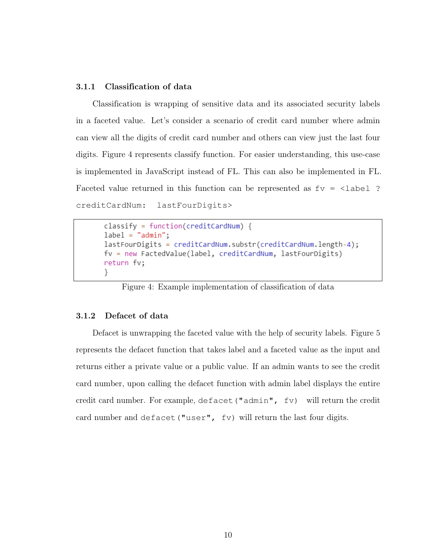### <span id="page-18-0"></span>3.1.1 Classification of data

Classification is wrapping of sensitive data and its associated security labels in a faceted value. Let's consider a scenario of credit card number where admin can view all the digits of credit card number and others can view just the last four digits. Figure [4](#page-18-2) represents classify function. For easier understanding, this use-case is implemented in JavaScript instead of FL. This can also be implemented in FL. Faceted value returned in this function can be represented as  $f_v = \text{label}$  ? creditCardNum: lastFourDigits>

```
classify = function(creditCardNum) {
label = "admin";lastFourDigits = creditCardNum.substr(creditCardNum.length-4);
fv = new FactedValue(label, creditCardNum, lastFourDigits)
return fv;
}
```
Figure 4: Example implementation of classification of data

### <span id="page-18-1"></span>3.1.2 Defacet of data

Defacet is unwrapping the faceted value with the help of security labels. Figure [5](#page-19-2) represents the defacet function that takes label and a faceted value as the input and returns either a private value or a public value. If an admin wants to see the credit card number, upon calling the defacet function with admin label displays the entire credit card number. For example, defacet("admin", fv) will return the credit card number and defacet("user", fv) will return the last four digits.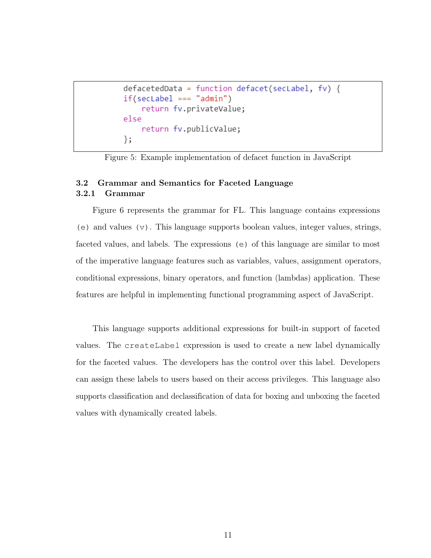```
defacetedData = function defacet(secLabel, fv) {
if(secLabel == "admin")return fv.privateValue;
else
    return fv.publicValue;
\};
```
Figure 5: Example implementation of defacet function in JavaScript

## <span id="page-19-1"></span><span id="page-19-0"></span>3.2 Grammar and Semantics for Faceted Language 3.2.1 Grammar

Figure [6](#page-20-1) represents the grammar for FL. This language contains expressions (e) and values  $(v)$ . This language supports boolean values, integer values, strings, faceted values, and labels. The expressions (e) of this language are similar to most of the imperative language features such as variables, values, assignment operators, conditional expressions, binary operators, and function (lambdas) application. These features are helpful in implementing functional programming aspect of JavaScript.

This language supports additional expressions for built-in support of faceted values. The createLabel expression is used to create a new label dynamically for the faceted values. The developers has the control over this label. Developers can assign these labels to users based on their access privileges. This language also supports classification and declassification of data for boxing and unboxing the faceted values with dynamically created labels.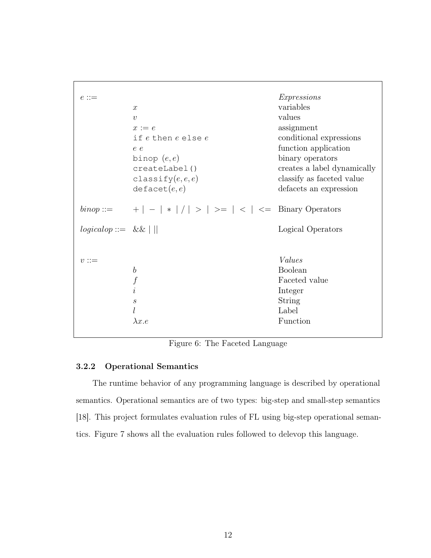<span id="page-20-1"></span>

| $e ::=$                      | $\boldsymbol{x}$<br>$\boldsymbol{v}$<br>$x := e$<br>if e then e else e<br>e e<br>binop $(e,e)$<br>createLabel()<br>classify $(e, e, e)$<br>defacet(e,e) | <i>Expressions</i><br>variables<br>values<br>assignment<br>conditional expressions<br>function application<br>binary operators<br>creates a label dynamically<br>classify as faceted value<br>defacets an expression |
|------------------------------|---------------------------------------------------------------------------------------------------------------------------------------------------------|----------------------------------------------------------------------------------------------------------------------------------------------------------------------------------------------------------------------|
| $\text{binop} ::=$           | + $  -   *   /   >   > =   <   ==$ Binary Operators                                                                                                     |                                                                                                                                                                                                                      |
| $logicalop ::= \&\& \mid   $ |                                                                                                                                                         | Logical Operators                                                                                                                                                                                                    |
| $v ::=$                      | $\boldsymbol{b}$<br>$\boldsymbol{f}$<br>$\dot{i}$<br>$\mathcal{S}_{\mathcal{S}}$<br>l<br>$\lambda x.e$                                                  | Values<br><b>Boolean</b><br>Faceted value<br>Integer<br>String<br>Label<br>Function                                                                                                                                  |

Figure 6: The Faceted Language

## <span id="page-20-0"></span>3.2.2 Operational Semantics

The runtime behavior of any programming language is described by operational semantics. Operational semantics are of two types: big-step and small-step semantics [\[18\]](#page-39-8). This project formulates evaluation rules of FL using big-step operational semantics. Figure [7](#page-21-0) shows all the evaluation rules followed to delevop this language.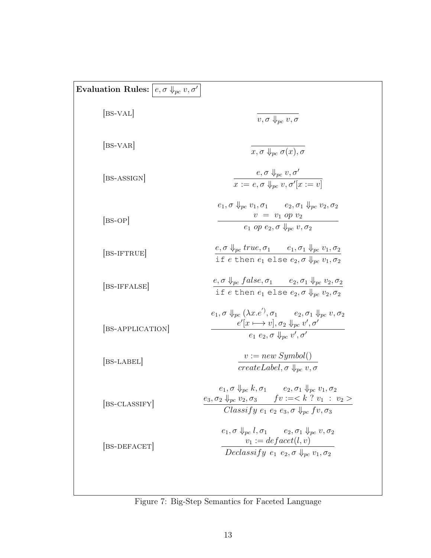<span id="page-21-0"></span>

| Evaluation Rules: $\vert e, \sigma \Downarrow_{pc} v, \sigma' \vert$ |                                                                                                                                                                                                                                                 |
|----------------------------------------------------------------------|-------------------------------------------------------------------------------------------------------------------------------------------------------------------------------------------------------------------------------------------------|
| $[BS-VAL]$                                                           | $v, \sigma \Downarrow_{\textit{pc}} v, \sigma$                                                                                                                                                                                                  |
| BS-VAR                                                               | $x, \sigma \Downarrow_{\textit{pc}} \sigma(x), \sigma$                                                                                                                                                                                          |
| [BS-ASSIGN]                                                          | $e, \sigma \Downarrow_{pc} v, \sigma'$<br>$x := e, \sigma \Downarrow_{nc} v, \sigma'[x := v]$                                                                                                                                                   |
| $ BS-OP $                                                            | $e_1, \sigma \Downarrow_{pc} v_1, \sigma_1$ $e_2, \sigma_1 \Downarrow_{pc} v_2, \sigma_2$<br>$v = v_1 op v_2$<br>$e_1$ op $e_2, \sigma \Downarrow_{nc} v, \sigma_2$                                                                             |
| [BS-IFTRUE]                                                          | $e, \sigma \Downarrow_{pc} true, \sigma_1$ $e_1, \sigma_1 \Downarrow_{pc} v_1, \sigma_2$<br>if e then $e_1$ else $e_2$ , $\sigma \Downarrow_{nc} v_1$ , $\sigma_2$                                                                              |
| [BS-IFFALSE]                                                         | $e, \sigma \Downarrow_{pc} false, \sigma_1$ $e_2, \sigma_1 \Downarrow_{pc} v_2, \sigma_2$<br>if e then $e_1$ else $e_2$ , $\sigma \Downarrow_{nc} v_2$ , $\sigma_2$                                                                             |
| BS-APPLICATION                                                       | $e_1, \sigma \Downarrow_{nc} (\lambda x.e'), \sigma_1 \qquad e_2, \sigma_1 \Downarrow_{nc} v, \sigma_2$<br>$e'[x \longmapsto v], \sigma_2 \Downarrow_{pc} v', \sigma'$<br>$e_1$ $e_2$ , $\sigma$ $\downarrow_{nc}$ $v'$ , $\sigma'$             |
| [BS-LABEL]                                                           | $v := new \, Symbol()$<br>$createLabel, \sigma \Downarrow_{nc} v, \sigma$                                                                                                                                                                       |
| [BS-CLASSIFY]                                                        | $e_1, \sigma \Downarrow_{pc} k, \sigma_1$ $e_2, \sigma_1 \Downarrow_{pc} v_1, \sigma_2$<br>$e_3, \sigma_2 \downarrow_{pc} v_2, \sigma_3$ $f v := < k$ ? $v_1 : v_2 >$<br>Classify $e_1$ $e_2$ $e_3$ , $\sigma \Downarrow_{nc} f v$ , $\sigma_3$ |
| [BS-DEFACET]                                                         | $e_1, \sigma \Downarrow_{pc} l, \sigma_1$ $e_2, \sigma_1 \Downarrow_{pc} v, \sigma_2$<br>$v_1 := \text{def} \operatorname{acet}(l, v)$<br>Declassify $e_1$ $e_2$ , $\sigma \Downarrow_{pc} v_1$ , $\sigma_2$                                    |

Figure 7: Big-Step Semantics for Faceted Language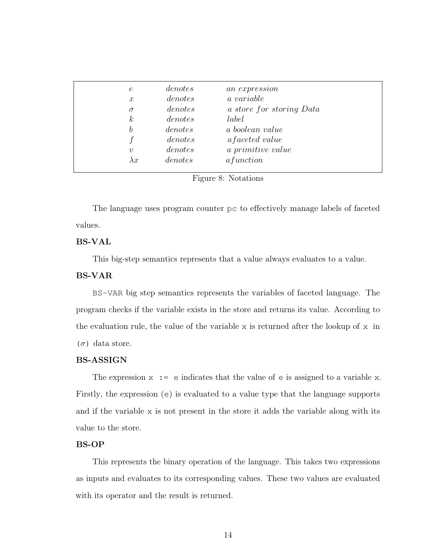<span id="page-22-0"></span>

| $\epsilon$       | denotes | an expression            |
|------------------|---------|--------------------------|
| $\boldsymbol{x}$ | denotes | a variable               |
| $\sigma$         | denotes | a store for storing Data |
| $\kappa$         | denotes | label                    |
| h                | denotes | a boolean value          |
|                  | denotes | <i>afaceted value</i>    |
| $\boldsymbol{v}$ | denotes | a primitive value        |
| $\lambda x$      | denotes | afunction                |
|                  |         |                          |

Figure 8: Notations

The language uses program counter pc to effectively manage labels of faceted values.

## BS-VAL

This big-step semantics represents that a value always evaluates to a value.

## BS-VAR

BS-VAR big step semantics represents the variables of faceted language. The program checks if the variable exists in the store and returns its value. According to the evaluation rule, the value of the variable x is returned after the lookup of  $x$  in  $(\sigma)$  data store.

## BS-ASSIGN

The expression  $x := e$  indicates that the value of  $e$  is assigned to a variable x. Firstly, the expression (e) is evaluated to a value type that the language supports and if the variable x is not present in the store it adds the variable along with its value to the store.

#### BS-OP

This represents the binary operation of the language. This takes two expressions as inputs and evaluates to its corresponding values. These two values are evaluated with its operator and the result is returned.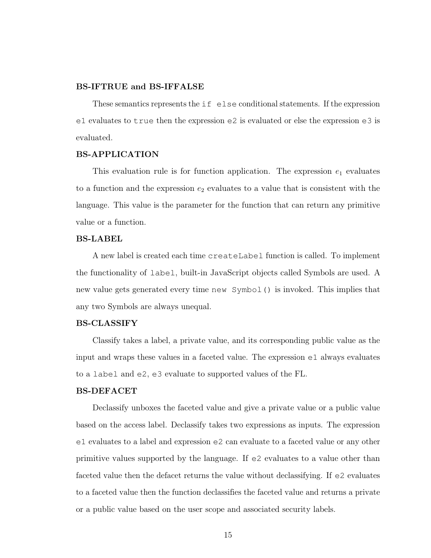#### BS-IFTRUE and BS-IFFALSE

These semantics represents the if else conditional statements. If the expression e1 evaluates to true then the expression e2 is evaluated or else the expression e3 is evaluated.

## BS-APPLICATION

This evaluation rule is for function application. The expression  $e_1$  evaluates to a function and the expression  $e_2$  evaluates to a value that is consistent with the language. This value is the parameter for the function that can return any primitive value or a function.

### BS-LABEL

A new label is created each time createLabel function is called. To implement the functionality of label, built-in JavaScript objects called Symbols are used. A new value gets generated every time new Symbol() is invoked. This implies that any two Symbols are always unequal.

### BS-CLASSIFY

Classify takes a label, a private value, and its corresponding public value as the input and wraps these values in a faceted value. The expression e1 always evaluates to a label and e2, e3 evaluate to supported values of the FL.

## BS-DEFACET

Declassify unboxes the faceted value and give a private value or a public value based on the access label. Declassify takes two expressions as inputs. The expression e1 evaluates to a label and expression e2 can evaluate to a faceted value or any other primitive values supported by the language. If e2 evaluates to a value other than faceted value then the defacet returns the value without declassifying. If e2 evaluates to a faceted value then the function declassifies the faceted value and returns a private or a public value based on the user scope and associated security labels.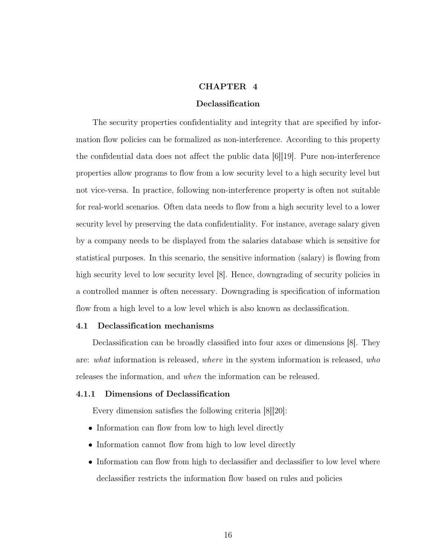### CHAPTER 4

## Declassification

<span id="page-24-0"></span>The security properties confidentiality and integrity that are specified by information flow policies can be formalized as non-interference. According to this property the confidential data does not affect the public data [\[6\]](#page-38-6)[\[19\]](#page-39-9). Pure non-interference properties allow programs to flow from a low security level to a high security level but not vice-versa. In practice, following non-interference property is often not suitable for real-world scenarios. Often data needs to flow from a high security level to a lower security level by preserving the data confidentiality. For instance, average salary given by a company needs to be displayed from the salaries database which is sensitive for statistical purposes. In this scenario, the sensitive information (salary) is flowing from high security level to low security level [\[8\]](#page-38-8). Hence, downgrading of security policies in a controlled manner is often necessary. Downgrading is specification of information flow from a high level to a low level which is also known as declassification.

#### <span id="page-24-1"></span>4.1 Declassification mechanisms

Declassification can be broadly classified into four axes or dimensions [\[8\]](#page-38-8). They are: what information is released, where in the system information is released, who releases the information, and when the information can be released.

#### <span id="page-24-2"></span>4.1.1 Dimensions of Declassification

Every dimension satisfies the following criteria [\[8\]](#page-38-8)[\[20\]](#page-39-10):

- Information can flow from low to high level directly
- Information cannot flow from high to low level directly
- Information can flow from high to declassifier and declassifier to low level where declassifier restricts the information flow based on rules and policies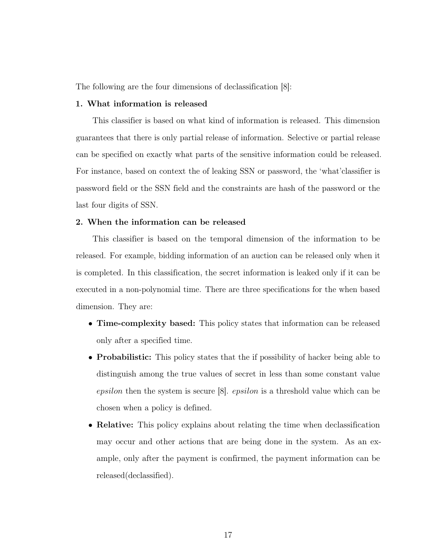The following are the four dimensions of declassification [\[8\]](#page-38-8):

## 1. What information is released

This classifier is based on what kind of information is released. This dimension guarantees that there is only partial release of information. Selective or partial release can be specified on exactly what parts of the sensitive information could be released. For instance, based on context the of leaking SSN or password, the 'what'classifier is password field or the SSN field and the constraints are hash of the password or the last four digits of SSN.

### 2. When the information can be released

This classifier is based on the temporal dimension of the information to be released. For example, bidding information of an auction can be released only when it is completed. In this classification, the secret information is leaked only if it can be executed in a non-polynomial time. There are three specifications for the when based dimension. They are:

- Time-complexity based: This policy states that information can be released only after a specified time.
- Probabilistic: This policy states that the if possibility of hacker being able to distinguish among the true values of secret in less than some constant value epsilon then the system is secure  $[8]$ . *epsilon* is a threshold value which can be chosen when a policy is defined.
- Relative: This policy explains about relating the time when declassification may occur and other actions that are being done in the system. As an example, only after the payment is confirmed, the payment information can be released(declassified).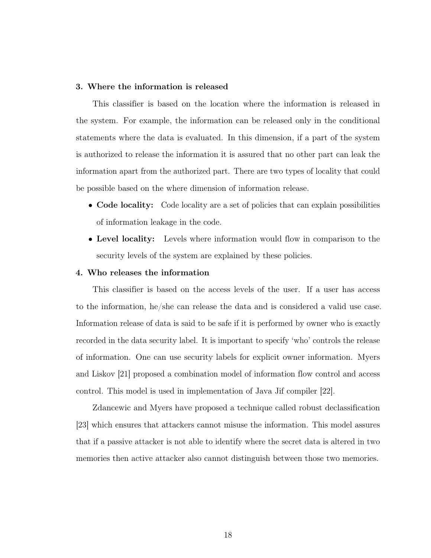#### 3. Where the information is released

This classifier is based on the location where the information is released in the system. For example, the information can be released only in the conditional statements where the data is evaluated. In this dimension, if a part of the system is authorized to release the information it is assured that no other part can leak the information apart from the authorized part. There are two types of locality that could be possible based on the where dimension of information release.

- Code locality: Code locality are a set of policies that can explain possibilities of information leakage in the code.
- Level locality: Levels where information would flow in comparison to the security levels of the system are explained by these policies.

#### 4. Who releases the information

This classifier is based on the access levels of the user. If a user has access to the information, he/she can release the data and is considered a valid use case. Information release of data is said to be safe if it is performed by owner who is exactly recorded in the data security label. It is important to specify 'who' controls the release of information. One can use security labels for explicit owner information. Myers and Liskov [\[21\]](#page-40-0) proposed a combination model of information flow control and access control. This model is used in implementation of Java Jif compiler [\[22\]](#page-40-1).

Zdancewic and Myers have proposed a technique called robust declassification [\[23\]](#page-40-2) which ensures that attackers cannot misuse the information. This model assures that if a passive attacker is not able to identify where the secret data is altered in two memories then active attacker also cannot distinguish between those two memories.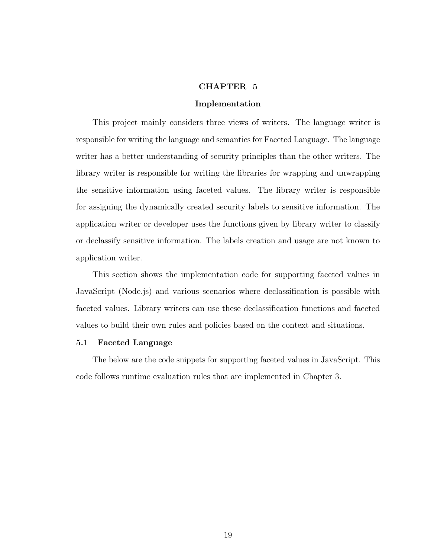#### CHAPTER 5

#### Implementation

<span id="page-27-0"></span>This project mainly considers three views of writers. The language writer is responsible for writing the language and semantics for Faceted Language. The language writer has a better understanding of security principles than the other writers. The library writer is responsible for writing the libraries for wrapping and unwrapping the sensitive information using faceted values. The library writer is responsible for assigning the dynamically created security labels to sensitive information. The application writer or developer uses the functions given by library writer to classify or declassify sensitive information. The labels creation and usage are not known to application writer.

This section shows the implementation code for supporting faceted values in JavaScript (Node.js) and various scenarios where declassification is possible with faceted values. Library writers can use these declassification functions and faceted values to build their own rules and policies based on the context and situations.

## <span id="page-27-1"></span>5.1 Faceted Language

The below are the code snippets for supporting faceted values in JavaScript. This code follows runtime evaluation rules that are implemented in Chapter [3.](#page-17-0)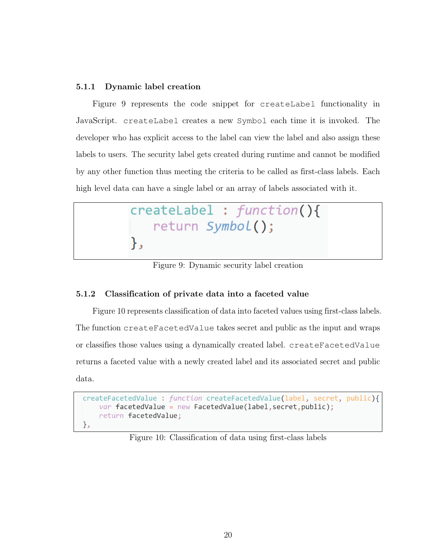## <span id="page-28-0"></span>5.1.1 Dynamic label creation

Figure [9](#page-28-2) represents the code snippet for createLabel functionality in JavaScript. createLabel creates a new Symbol each time it is invoked. The developer who has explicit access to the label can view the label and also assign these labels to users. The security label gets created during runtime and cannot be modified by any other function thus meeting the criteria to be called as first-class labels. Each high level data can have a single label or an array of labels associated with it.

<span id="page-28-2"></span>

Figure 9: Dynamic security label creation

## <span id="page-28-1"></span>5.1.2 Classification of private data into a faceted value

Figure [10](#page-28-3) represents classification of data into faceted values using first-class labels. The function createFacetedValue takes secret and public as the input and wraps or classifies those values using a dynamically created label. createFacetedValue returns a faceted value with a newly created label and its associated secret and public data.

```
createFacetedValue : function createFacetedValue(label, secret, public){
    var facetedValue = new FacetedValue(label, secret, public);
    return facetedValue;
},
```
Figure 10: Classification of data using first-class labels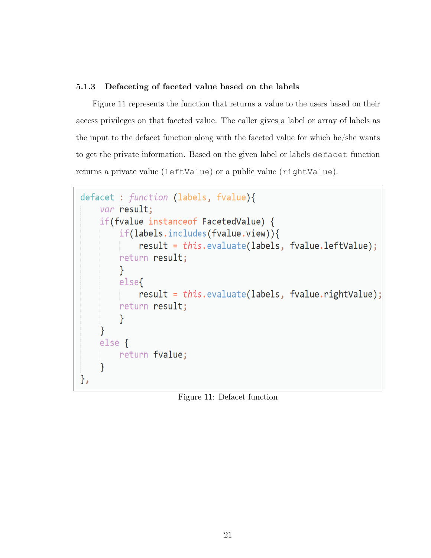## <span id="page-29-0"></span>5.1.3 Defaceting of faceted value based on the labels

Figure [11](#page-29-1) represents the function that returns a value to the users based on their access privileges on that faceted value. The caller gives a label or array of labels as the input to the defacet function along with the faceted value for which he/she wants to get the private information. Based on the given label or labels defacet function returns a private value (leftValue) or a public value (rightValue).

```
defacet : function (labels, fvalue){
    var result;
    if(fvalue instanceof FacetedValue) {
        if(labels.includes(fvalue.view)){
            result = this.evaluate(labels, fvalue.leftValue);
        return result;
        Y
        else{
            result = this.evaluate(labels, fvalue.rightValue);
        return result;
        Y
    }
    else {
        return fvalue;
    }
},
```
Figure 11: Defacet function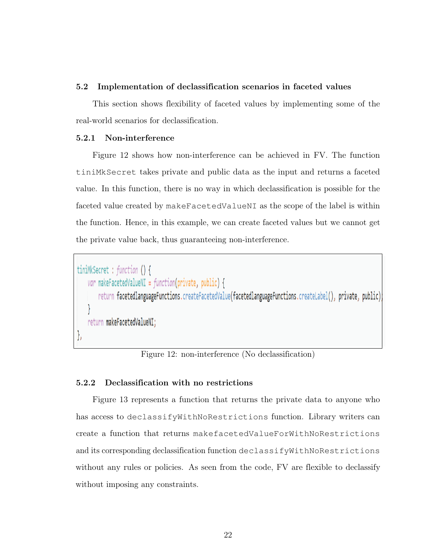## <span id="page-30-0"></span>5.2 Implementation of declassification scenarios in faceted values

This section shows flexibility of faceted values by implementing some of the real-world scenarios for declassification.

### <span id="page-30-1"></span>5.2.1 Non-interference

Figure [12](#page-30-3) shows how non-interference can be achieved in FV. The function tiniMkSecret takes private and public data as the input and returns a faceted value. In this function, there is no way in which declassification is possible for the faceted value created by makeFacetedValueNI as the scope of the label is within the function. Hence, in this example, we can create faceted values but we cannot get the private value back, thus guaranteeing non-interference.

```
tiniMkSecret : function () {
   var makeFacetedValueNI = function(private, public) {
       return facetedlanguageFunctions.createFacetedValue(facetedlanguageFunctions.createLabel(), private, public)
    return makeFacetedValueNI:
```
Figure 12: non-interference (No declassification)

## <span id="page-30-2"></span>5.2.2 Declassification with no restrictions

Figure [13](#page-31-1) represents a function that returns the private data to anyone who has access to declassifyWithNoRestrictions function. Library writers can create a function that returns makefacetedValueForWithNoRestrictions and its corresponding declassification function declassifyWithNoRestrictions without any rules or policies. As seen from the code, FV are flexible to declassify without imposing any constraints.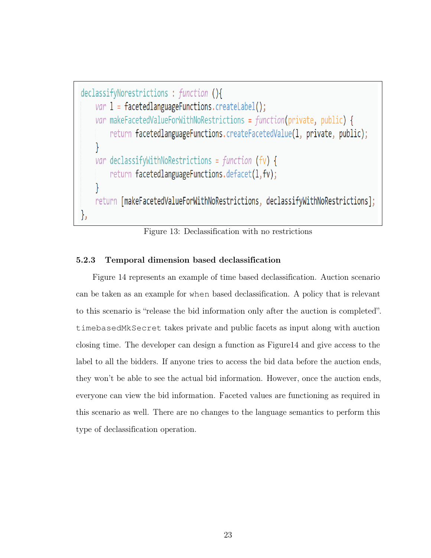```
declassifyNorestrictions : function (){
    var 1 = facetedlanguageFunctions.createLabel();
    var makeFacetedValueForWithNoRestrictions = function(private, public) {
        return facetedlanguageFunctions.createFacetedValue(1, private, public);
    ł
    var declassifyWithNoRestrictions = function (fv) {
        return facetedlanguageFunctions.defacet(1,fv);
    return [makeFacetedValueForWithNoRestrictions, declassifyWithNoRestrictions];
},
```
Figure 13: Declassification with no restrictions

## <span id="page-31-0"></span>5.2.3 Temporal dimension based declassification

Figure [14](#page-32-1) represents an example of time based declassification. Auction scenario can be taken as an example for when based declassification. A policy that is relevant to this scenario is "release the bid information only after the auction is completed". timebasedMkSecret takes private and public facets as input along with auction closing time. The developer can design a function as Figur[e14](#page-32-1) and give access to the label to all the bidders. If anyone tries to access the bid data before the auction ends, they won't be able to see the actual bid information. However, once the auction ends, everyone can view the bid information. Faceted values are functioning as required in this scenario as well. There are no changes to the language semantics to perform this type of declassification operation.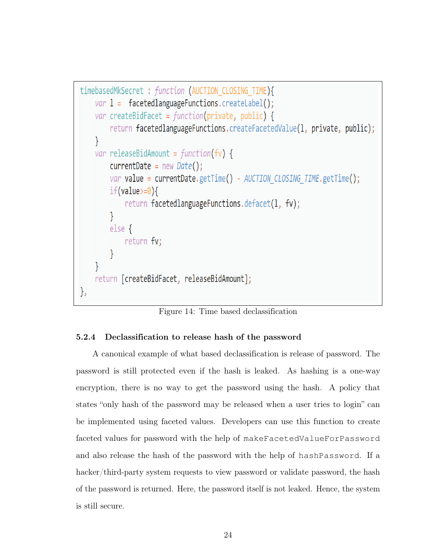```
timebasedMkSecret : function (AUCTION CLOSING TIME){
    var 1 = facetedlanguageFunctions.createLabel();
    var createBidFacet = function(private, public) {
        return facetedlanguageFunctions.createFacetedValue(1, private, public);
    ł
    var releaseBidAmount = function(fv) {
        currentDate = new Date();var value = currentDate.getTime() - AUCTION CLOSING TIME.getTime();if(value>=0){
            return facetedlanguageFunctions.defacet(1, fv);
        ł
        else freturn fv;
        ł
    return [createBidFacet, releaseBidAmount];
},
```
Figure 14: Time based declassification

## <span id="page-32-0"></span>5.2.4 Declassification to release hash of the password

A canonical example of what based declassification is release of password. The password is still protected even if the hash is leaked. As hashing is a one-way encryption, there is no way to get the password using the hash. A policy that states "only hash of the password may be released when a user tries to login" can be implemented using faceted values. Developers can use this function to create faceted values for password with the help of makeFacetedValueForPassword and also release the hash of the password with the help of hashPassword. If a hacker/third-party system requests to view password or validate password, the hash of the password is returned. Here, the password itself is not leaked. Hence, the system is still secure.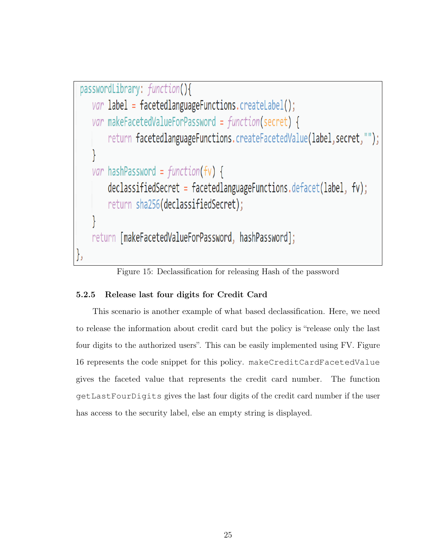```
passwordLibrary: function(){
    var label = facetedlanguageFunctions.createLabel();
    var makeFacetedValueForPassword = function(secret) {
        return facetedlanguageFunctions.createFacetedValue(label, secret, "");
    }
    var hashPassword = function(fv) {
        declassifiedSecret = facetedlanguageFunctions.defacet(label, fv);
        return sha256(declassifiedSecret);
    return [makeFacetedValueForPassword, hashPassword];
},
```
Figure 15: Declassification for releasing Hash of the password

## <span id="page-33-0"></span>5.2.5 Release last four digits for Credit Card

This scenario is another example of what based declassification. Here, we need to release the information about credit card but the policy is "release only the last four digits to the authorized users". This can be easily implemented using FV. Figure [16](#page-34-1) represents the code snippet for this policy. makeCreditCardFacetedValue gives the faceted value that represents the credit card number. The function getLastFourDigits gives the last four digits of the credit card number if the user has access to the security label, else an empty string is displayed.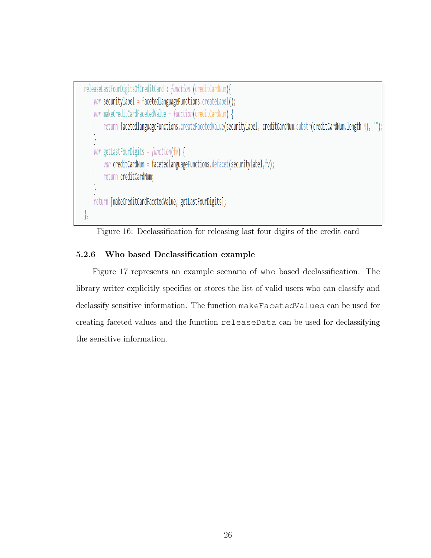```
releaseLastFourDigitsOfCreditCard : function (creditCardNum){
   var securitylabel = facetedlanguageFunctions.createLabel();
   var makeCreditCardFacetedValue = function(creditCardNum) {
        return facetedlanguageFunctions.createFacetedValue(securitylabel, creditCardNum.substr(creditCardNum.length-4),
   var getLastFourDigits = function(fv) {
        var creditCardNum = facetedlanguageFunctions.defacet(securitylabel,fv);
       return creditCardNum;
   return [makeCreditCardFacetedValue, getLastFourDigits];
},
```
Figure 16: Declassification for releasing last four digits of the credit card

## <span id="page-34-0"></span>5.2.6 Who based Declassification example

Figure [17](#page-35-1) represents an example scenario of who based declassification. The library writer explicitly specifies or stores the list of valid users who can classify and declassify sensitive information. The function makeFacetedValues can be used for creating faceted values and the function releaseData can be used for declassifying the sensitive information.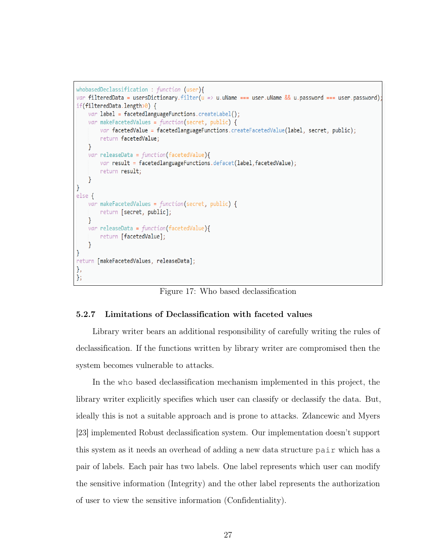```
whobasedDeclassification : function (user){
var filteredData = usersDictionary.filter(u => u.uName === user.uName && u.password === user.password)
if(filteredData.length>0) {
    var label = facetedlanguageFunctions.createLabel();
    var makeFacetedValues = function(secret, public) {
        var facetedValue = facetedlanguageFunctions.createFacetedValue(label, secret, public);
        return facetedValue;
    \mathcal{F}var releaseData = function(facetedValue){
        var result = facetedlanguageFunctions.defacet(label, facetedValue);
        return result;
    \mathcal{F}else {
    var makeFacetedValues = function(secret, public) {
        return [secret, public];
    \mathcal{F}var releaseData = function(facetedValue){
        return [facetedValue];
    \mathcal{E}return [makeFacetedValues, releaseData];
},
};
```
Figure 17: Who based declassification

## <span id="page-35-0"></span>5.2.7 Limitations of Declassification with faceted values

Library writer bears an additional responsibility of carefully writing the rules of declassification. If the functions written by library writer are compromised then the system becomes vulnerable to attacks.

In the who based declassification mechanism implemented in this project, the library writer explicitly specifies which user can classify or declassify the data. But, ideally this is not a suitable approach and is prone to attacks. Zdancewic and Myers [\[23\]](#page-40-2) implemented Robust declassification system. Our implementation doesn't support this system as it needs an overhead of adding a new data structure pair which has a pair of labels. Each pair has two labels. One label represents which user can modify the sensitive information (Integrity) and the other label represents the authorization of user to view the sensitive information (Confidentiality).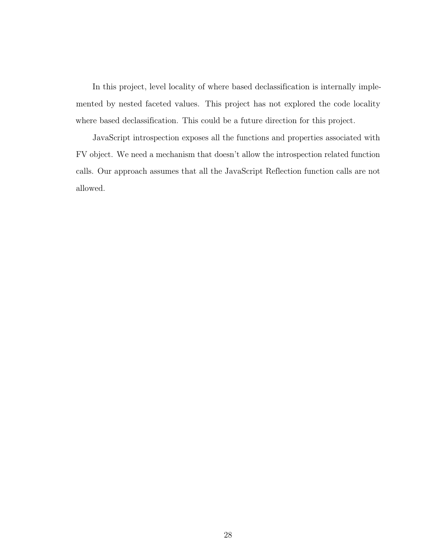In this project, level locality of where based declassification is internally implemented by nested faceted values. This project has not explored the code locality where based declassification. This could be a future direction for this project.

JavaScript introspection exposes all the functions and properties associated with FV object. We need a mechanism that doesn't allow the introspection related function calls. Our approach assumes that all the JavaScript Reflection function calls are not allowed.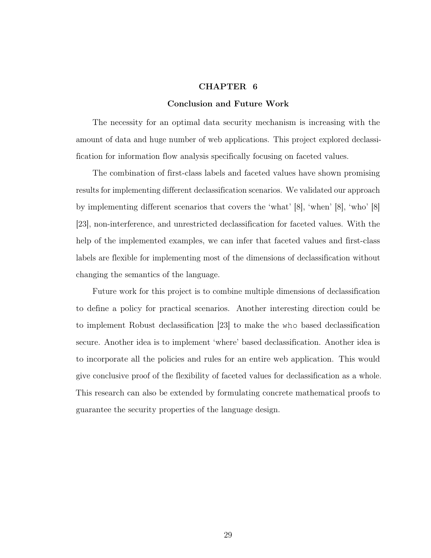### CHAPTER 6

#### Conclusion and Future Work

<span id="page-37-0"></span>The necessity for an optimal data security mechanism is increasing with the amount of data and huge number of web applications. This project explored declassification for information flow analysis specifically focusing on faceted values.

The combination of first-class labels and faceted values have shown promising results for implementing different declassification scenarios. We validated our approach by implementing different scenarios that covers the 'what' [\[8\]](#page-38-8), 'when' [\[8\]](#page-38-8), 'who' [\[8\]](#page-38-8) [\[23\]](#page-40-2), non-interference, and unrestricted declassification for faceted values. With the help of the implemented examples, we can infer that faceted values and first-class labels are flexible for implementing most of the dimensions of declassification without changing the semantics of the language.

Future work for this project is to combine multiple dimensions of declassification to define a policy for practical scenarios. Another interesting direction could be to implement Robust declassification [\[23\]](#page-40-2) to make the who based declassification secure. Another idea is to implement 'where' based declassification. Another idea is to incorporate all the policies and rules for an entire web application. This would give conclusive proof of the flexibility of faceted values for declassification as a whole. This research can also be extended by formulating concrete mathematical proofs to guarantee the security properties of the language design.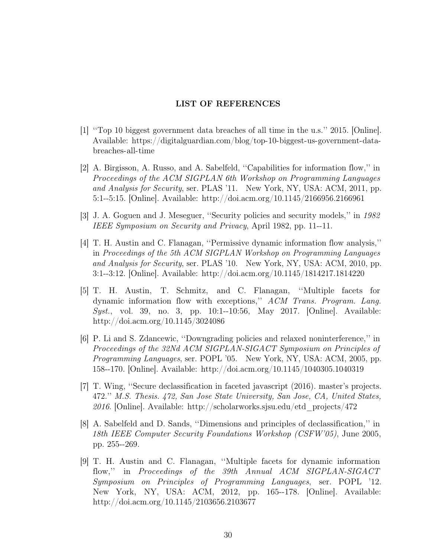## LIST OF REFERENCES

- <span id="page-38-1"></span><span id="page-38-0"></span>[1] ''Top 10 biggest government data breaches of all time in the u.s.'' 2015. [Online]. Available: [https://digitalguardian.com/blog/top-10-biggest-us-government-data](https://digitalguardian.com/blog/top-10-biggest-us-government-data-breaches-all-time)[breaches-all-time](https://digitalguardian.com/blog/top-10-biggest-us-government-data-breaches-all-time)
- <span id="page-38-2"></span>[2] A. Birgisson, A. Russo, and A. Sabelfeld, ''Capabilities for information flow,'' in Proceedings of the ACM SIGPLAN 6th Workshop on Programming Languages and Analysis for Security, ser. PLAS '11. New York, NY, USA: ACM, 2011, pp. 5:1--5:15. [Online]. Available:<http://doi.acm.org/10.1145/2166956.2166961>
- <span id="page-38-3"></span>[3] J. A. Goguen and J. Meseguer, ''Security policies and security models,'' in 1982 IEEE Symposium on Security and Privacy, April 1982, pp. 11--11.
- <span id="page-38-4"></span>[4] T. H. Austin and C. Flanagan, ''Permissive dynamic information flow analysis,'' in Proceedings of the 5th ACM SIGPLAN Workshop on Programming Languages and Analysis for Security, ser. PLAS '10. New York, NY, USA: ACM, 2010, pp. 3:1--3:12. [Online]. Available:<http://doi.acm.org/10.1145/1814217.1814220>
- <span id="page-38-5"></span>[5] T. H. Austin, T. Schmitz, and C. Flanagan, ''Multiple facets for dynamic information flow with exceptions,'' ACM Trans. Program. Lang. Syst., vol. 39, no. 3, pp. 10:1--10:56, May 2017. [Online]. Available: <http://doi.acm.org/10.1145/3024086>
- <span id="page-38-6"></span>[6] P. Li and S. Zdancewic, ''Downgrading policies and relaxed noninterference,'' in Proceedings of the 32Nd ACM SIGPLAN-SIGACT Symposium on Principles of Programming Languages, ser. POPL '05. New York, NY, USA: ACM, 2005, pp. 158--170. [Online]. Available:<http://doi.acm.org/10.1145/1040305.1040319>
- <span id="page-38-7"></span>[7] T. Wing, ''Secure declassification in faceted javascript (2016). master's projects. 472.'' M.S. Thesis. 472, San Jose State University, San Jose, CA, United States, 2016. [Online]. Available: [http://scholarworks.sjsu.edu/etd\\_projects/472](http://scholarworks.sjsu.edu/etd_projects/472)
- <span id="page-38-8"></span>[8] A. Sabelfeld and D. Sands, ''Dimensions and principles of declassification,'' in 18th IEEE Computer Security Foundations Workshop (CSFW'05), June 2005, pp. 255--269.
- <span id="page-38-9"></span>[9] T. H. Austin and C. Flanagan, ''Multiple facets for dynamic information flow,'' in Proceedings of the 39th Annual ACM SIGPLAN-SIGACT Symposium on Principles of Programming Languages, ser. POPL '12. New York, NY, USA: ACM, 2012, pp. 165--178. [Online]. Available: <http://doi.acm.org/10.1145/2103656.2103677>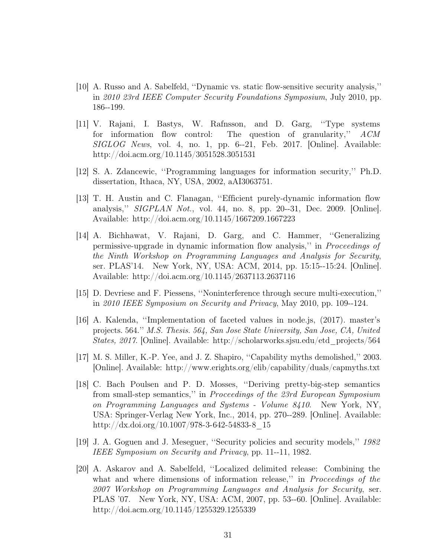- <span id="page-39-0"></span>[10] A. Russo and A. Sabelfeld, ''Dynamic vs. static flow-sensitive security analysis,'' in 2010 23rd IEEE Computer Security Foundations Symposium, July 2010, pp. 186--199.
- <span id="page-39-1"></span>[11] V. Rajani, I. Bastys, W. Rafnsson, and D. Garg, ''Type systems for information flow control: The question of granularity,'' ACM  $SIGLOG$  News, vol. 4, no. 1, pp. 6--21, Feb. 2017. [Online]. Available: <http://doi.acm.org/10.1145/3051528.3051531>
- <span id="page-39-2"></span>[12] S. A. Zdancewic, ''Programming languages for information security,'' Ph.D. dissertation, Ithaca, NY, USA, 2002, aAI3063751.
- <span id="page-39-3"></span>[13] T. H. Austin and C. Flanagan, ''Efficient purely-dynamic information flow analysis,'' SIGPLAN Not., vol. 44, no. 8, pp. 20--31, Dec. 2009. [Online]. Available:<http://doi.acm.org/10.1145/1667209.1667223>
- <span id="page-39-4"></span>[14] A. Bichhawat, V. Rajani, D. Garg, and C. Hammer, ''Generalizing permissive-upgrade in dynamic information flow analysis,'' in Proceedings of the Ninth Workshop on Programming Languages and Analysis for Security, ser. PLAS'14. New York, NY, USA: ACM, 2014, pp. 15:15--15:24. [Online]. Available:<http://doi.acm.org/10.1145/2637113.2637116>
- <span id="page-39-5"></span>[15] D. Devriese and F. Piessens, ''Noninterference through secure multi-execution,'' in 2010 IEEE Symposium on Security and Privacy, May 2010, pp. 109--124.
- <span id="page-39-6"></span>[16] A. Kalenda, ''Implementation of faceted values in node.js, (2017). master's projects. 564.'' M.S. Thesis. 564, San Jose State University, San Jose, CA, United States, 2017. [Online]. Available: [http://scholarworks.sjsu.edu/etd\\_projects/564](http://scholarworks.sjsu.edu/etd_projects/564)
- <span id="page-39-7"></span>[17] M. S. Miller, K.-P. Yee, and J. Z. Shapiro, ''Capability myths demolished,'' 2003. [Online]. Available:<http://www.erights.org/elib/capability/duals/capmyths.txt>
- <span id="page-39-8"></span>[18] C. Bach Poulsen and P. D. Mosses, ''Deriving pretty-big-step semantics from small-step semantics,'' in Proceedings of the 23rd European Symposium on Programming Languages and Systems - Volume 8410. New York, NY, USA: Springer-Verlag New York, Inc., 2014, pp. 270--289. [Online]. Available: [http://dx.doi.org/10.1007/978-3-642-54833-8\\_15](http://dx.doi.org/10.1007/978-3-642-54833-8_15)
- <span id="page-39-9"></span>[19] J. A. Goguen and J. Meseguer, ''Security policies and security models,'' 1982 IEEE Symposium on Security and Privacy, pp. 11--11, 1982.
- <span id="page-39-10"></span>[20] A. Askarov and A. Sabelfeld, ''Localized delimited release: Combining the what and where dimensions of information release," in *Proceedings of the* 2007 Workshop on Programming Languages and Analysis for Security, ser. PLAS '07. New York, NY, USA: ACM, 2007, pp. 53--60. [Online]. Available: <http://doi.acm.org/10.1145/1255329.1255339>